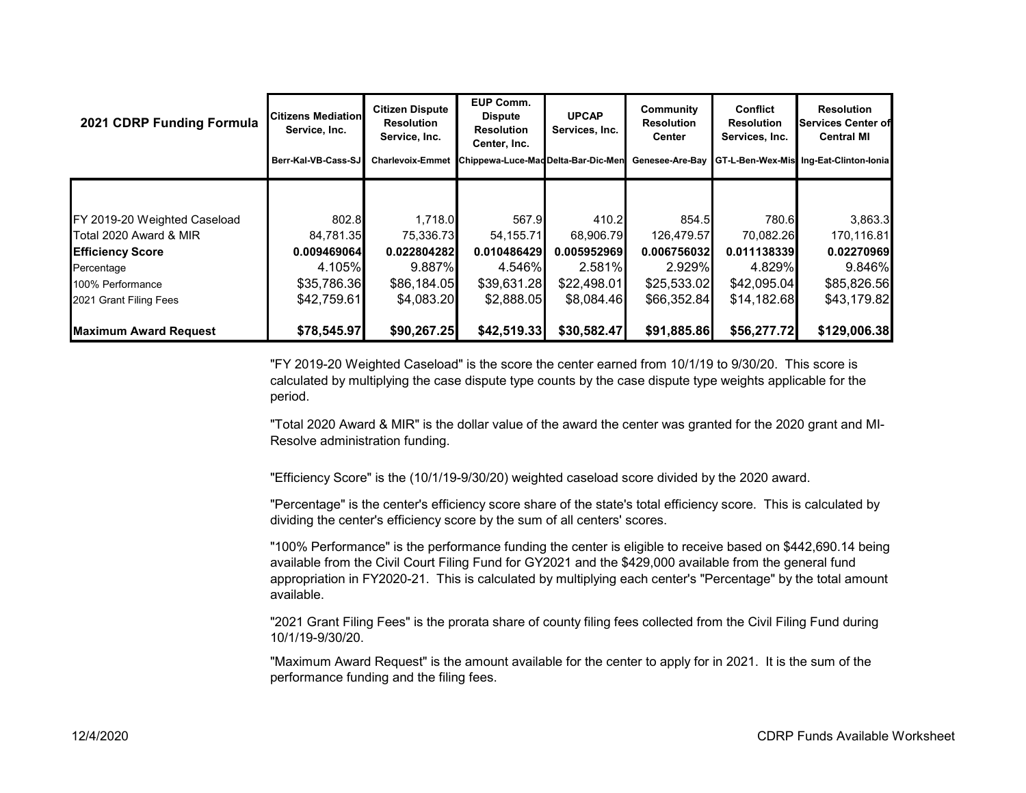| 2021 CDRP Funding Formula    | <b>Citizens Mediation</b><br>Service, Inc.<br>Berr-Kal-VB-Cass-SJ | <b>Citizen Dispute</b><br><b>Resolution</b><br>Service, Inc.<br><b>Charlevoix-Emmet</b> | EUP Comm.<br><b>Dispute</b><br><b>Resolution</b><br>Center, Inc.<br>Chippewa-Luce-Mad Delta-Bar-Dic-Men | <b>UPCAP</b><br>Services, Inc. | Community<br><b>Resolution</b><br>Center<br>Genesee-Are-Bay | <b>Conflict</b><br><b>Resolution</b><br>Services, Inc. | <b>Resolution</b><br><b>Services Center of</b><br><b>Central MI</b><br>GT-L-Ben-Wex-Mis Ing-Eat-Clinton-Ionia |
|------------------------------|-------------------------------------------------------------------|-----------------------------------------------------------------------------------------|---------------------------------------------------------------------------------------------------------|--------------------------------|-------------------------------------------------------------|--------------------------------------------------------|---------------------------------------------------------------------------------------------------------------|
|                              |                                                                   |                                                                                         |                                                                                                         |                                |                                                             |                                                        |                                                                                                               |
|                              |                                                                   |                                                                                         |                                                                                                         |                                |                                                             |                                                        |                                                                                                               |
| FY 2019-20 Weighted Caseload | 802.8                                                             | 1.718.0                                                                                 | 567.9                                                                                                   | 410.2                          | 854.5                                                       | 780.6                                                  | 3,863.3                                                                                                       |
| Total 2020 Award & MIR       | 84,781.35                                                         | 75,336.73                                                                               | 54,155.71                                                                                               | 68,906.79                      | 126,479.57                                                  | 70,082.26                                              | 170,116.81                                                                                                    |
| <b>Efficiency Score</b>      | 0.009469064                                                       | 0.022804282                                                                             | 0.010486429                                                                                             | 0.005952969                    | 0.006756032                                                 | 0.011138339                                            | 0.02270969                                                                                                    |
| Percentage                   | 4.105%                                                            | 9.887%                                                                                  | 4.546%                                                                                                  | 2.581%                         | 2.929%                                                      | 4.829%                                                 | 9.846%                                                                                                        |
| 100% Performance             | \$35,786.36                                                       | \$86,184.05                                                                             | \$39,631.28                                                                                             | \$22,498.01                    | \$25,533.02                                                 | \$42,095.04                                            | \$85,826.56                                                                                                   |
| 2021 Grant Filing Fees       | \$42,759.61                                                       | \$4,083.20                                                                              | \$2,888.05                                                                                              | \$8,084.46                     | \$66,352.84                                                 | \$14,182.68                                            | \$43,179.82                                                                                                   |
| <b>Maximum Award Request</b> | \$78,545.97                                                       | \$90,267.25                                                                             | \$42,519.33                                                                                             | \$30,582.47                    | \$91,885.86                                                 | \$56,277.72                                            | \$129,006.38                                                                                                  |

"FY 2019-20 Weighted Caseload" is the score the center earned from 10/1/19 to 9/30/20. This score is calculated by multiplying the case dispute type counts by the case dispute type weights applicable for the period.

"Total 2020 Award & MIR" is the dollar value of the award the center was granted for the 2020 grant and MI-Resolve administration funding.

"Efficiency Score" is the (10/1/19-9/30/20) weighted caseload score divided by the 2020 award.

"Percentage" is the center's efficiency score share of the state's total efficiency score. This is calculated by dividing the center's efficiency score by the sum of all centers' scores.

"100% Performance" is the performance funding the center is eligible to receive based on \$442,690.14 being available from the Civil Court Filing Fund for GY2021 and the \$429,000 available from the general fund appropriation in FY2020-21. This is calculated by multiplying each center's "Percentage" by the total amount available.

"2021 Grant Filing Fees" is the prorata share of county filing fees collected from the Civil Filing Fund during 10/1/19-9/30/20.

"Maximum Award Request" is the amount available for the center to apply for in 2021. It is the sum of the performance funding and the filing fees.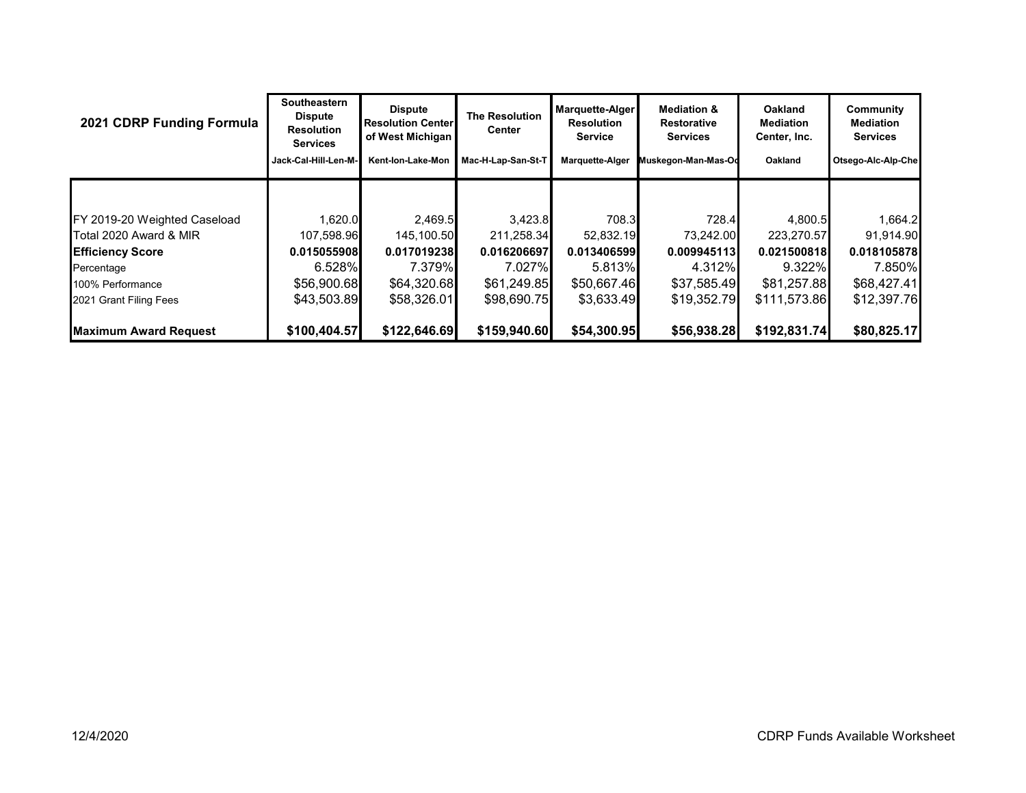| 2021 CDRP Funding Formula    | Southeastern<br><b>Dispute</b><br><b>Resolution</b><br><b>Services</b> | <b>Dispute</b><br><b>Resolution Centerl</b><br>of West Michigan | <b>The Resolution</b><br>Center | Marquette-Alger<br><b>Resolution</b><br>Service | <b>Mediation &amp;</b><br><b>Restorative</b><br><b>Services</b> | <b>Oakland</b><br><b>Mediation</b><br>Center, Inc. | Community<br>Mediation<br><b>Services</b> |
|------------------------------|------------------------------------------------------------------------|-----------------------------------------------------------------|---------------------------------|-------------------------------------------------|-----------------------------------------------------------------|----------------------------------------------------|-------------------------------------------|
|                              | Jack-Cal-Hill-Len-M-                                                   | Kent-Ion-Lake-Mon                                               | Mac-H-Lap-San-St-T              | <b>Marquette-Alger</b>                          | Muskegon-Man-Mas-Oc                                             | Oakland                                            | Otsego-Alc-Alp-Che                        |
|                              |                                                                        |                                                                 |                                 |                                                 |                                                                 |                                                    |                                           |
| FY 2019-20 Weighted Caseload | 1,620.0                                                                | 2,469.5                                                         | 3,423.8                         | 708.3                                           | 728.4                                                           | 4,800.5                                            | 1,664.2                                   |
| Total 2020 Award & MIR       | 107,598.96                                                             | 145,100.50                                                      | 211,258.34                      | 52,832.19                                       | 73,242.00                                                       | 223,270.57                                         | 91,914.90                                 |
| <b>Efficiency Score</b>      | 0.015055908                                                            | 0.017019238                                                     | 0.016206697                     | 0.013406599                                     | 0.009945113                                                     | 0.021500818                                        | 0.018105878                               |
| Percentage                   | 6.528%                                                                 | 7.379%                                                          | 7.027%                          | 5.813%                                          | 4.312%                                                          | 9.322%                                             | 7.850%                                    |
| 100% Performance             | \$56,900.68                                                            | \$64,320.68                                                     | \$61,249.85                     | \$50,667.46                                     | \$37,585.49                                                     | \$81,257.88                                        | \$68,427.41                               |
| 2021 Grant Filing Fees       | \$43,503.89                                                            | \$58,326.01                                                     | \$98,690.75                     | \$3,633.49                                      | \$19,352.79                                                     | \$111,573.86                                       | \$12,397.76                               |
| <b>Maximum Award Request</b> | \$100,404.57                                                           | \$122,646.69                                                    | \$159,940.60                    | \$54,300.95                                     | \$56,938.28                                                     | \$192,831.74                                       | \$80,825.17                               |